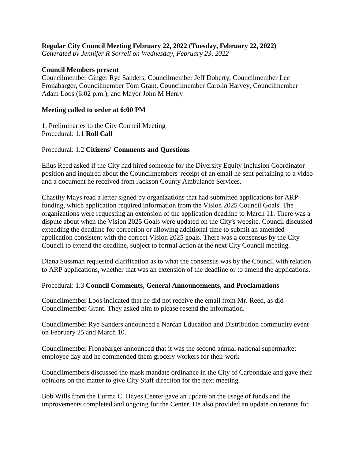## **Regular City Council Meeting February 22, 2022 (Tuesday, February 22, 2022)**

*Generated by Jennifer R Sorrell on Wednesday, February 23, 2022*

### **Council Members present**

Councilmember Ginger Rye Sanders, Councilmember Jeff Doherty, Councilmember Lee Fronabarger, Councilmember Tom Grant, Councilmember Carolin Harvey, Councilmember Adam Loos (6:02 p.m.), and Mayor John M Henry

### **Meeting called to order at 6:00 PM**

1. Preliminaries to the City Council Meeting Procedural: 1.1 **Roll Call**

### Procedural: 1.2 **Citizens' Comments and Questions**

Elius Reed asked if the City had hired someone for the Diversity Equity Inclusion Coordinator position and inquired about the Councilmembers' receipt of an email he sent pertaining to a video and a document he received from Jackson County Ambulance Services.

Chastity Mays read a letter signed by organizations that had submitted applications for ARP funding, which application required information from the Vision 2025 Council Goals. The organizations were requesting an extension of the application deadline to March 11. There was a dispute about when the Vision 2025 Goals were updated on the City's website. Council discussed extending the deadline for correction or allowing additional time to submit an amended application consistent with the correct Vision 2025 goals. There was a consensus by the City Council to extend the deadline, subject to formal action at the next City Council meeting.

Diana Sussman requested clarification as to what the consensus was by the Council with relation to ARP applications, whether that was an extension of the deadline or to amend the applications.

### Procedural: 1.3 **Council Comments, General Announcements, and Proclamations**

Councilmember Loos indicated that he did not receive the email from Mr. Reed, as did Councilmember Grant. They asked him to please resend the information.

Councilmember Rye Sanders announced a Narcan Education and Distribution community event on February 25 and March 10.

Councilmember Fronabarger announced that it was the second annual national supermarket employee day and he commended them grocery workers for their work

Councilmembers discussed the mask mandate ordinance in the City of Carbondale and gave their opinions on the matter to give City Staff direction for the next meeting.

Bob Wills from the Eurma C. Hayes Center gave an update on the usage of funds and the improvements completed and ongoing for the Center. He also provided an update on tenants for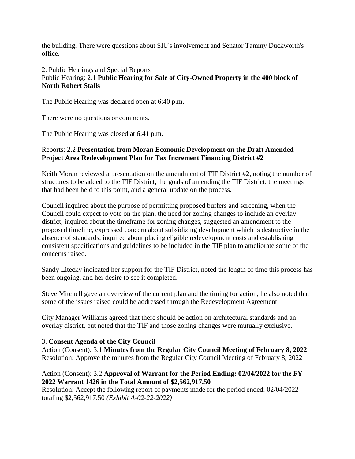the building. There were questions about SIU's involvement and Senator Tammy Duckworth's office.

2. Public Hearings and Special Reports

# Public Hearing: 2.1 **Public Hearing for Sale of City-Owned Property in the 400 block of North Robert Stalls**

The Public Hearing was declared open at 6:40 p.m.

There were no questions or comments.

The Public Hearing was closed at 6:41 p.m.

## Reports: 2.2 **Presentation from Moran Economic Development on the Draft Amended Project Area Redevelopment Plan for Tax Increment Financing District #2**

Keith Moran reviewed a presentation on the amendment of TIF District #2, noting the number of structures to be added to the TIF District, the goals of amending the TIF District, the meetings that had been held to this point, and a general update on the process.

Council inquired about the purpose of permitting proposed buffers and screening, when the Council could expect to vote on the plan, the need for zoning changes to include an overlay district, inquired about the timeframe for zoning changes, suggested an amendment to the proposed timeline, expressed concern about subsidizing development which is destructive in the absence of standards, inquired about placing eligible redevelopment costs and establishing consistent specifications and guidelines to be included in the TIF plan to ameliorate some of the concerns raised.

Sandy Litecky indicated her support for the TIF District, noted the length of time this process has been ongoing, and her desire to see it completed.

Steve Mitchell gave an overview of the current plan and the timing for action; he also noted that some of the issues raised could be addressed through the Redevelopment Agreement.

City Manager Williams agreed that there should be action on architectural standards and an overlay district, but noted that the TIF and those zoning changes were mutually exclusive.

### 3. **Consent Agenda of the City Council**

Action (Consent): 3.1 **Minutes from the Regular City Council Meeting of February 8, 2022** Resolution: Approve the minutes from the Regular City Council Meeting of February 8, 2022

## Action (Consent): 3.2 **Approval of Warrant for the Period Ending: 02/04/2022 for the FY 2022 Warrant 1426 in the Total Amount of \$2,562,917.50**

Resolution: Accept the following report of payments made for the period ended: 02/04/2022 totaling \$2,562,917.50 *(Exhibit A-02-22-2022)*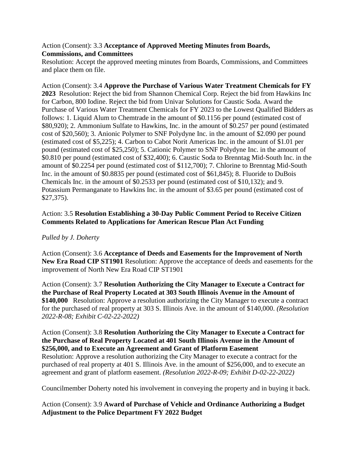## Action (Consent): 3.3 **Acceptance of Approved Meeting Minutes from Boards, Commissions, and Committees**

Resolution: Accept the approved meeting minutes from Boards, Commissions, and Committees and place them on file.

Action (Consent): 3.4 **Approve the Purchase of Various Water Treatment Chemicals for FY 2023** Resolution: Reject the bid from Shannon Chemical Corp. Reject the bid from Hawkins Inc for Carbon, 800 Iodine. Reject the bid from Univar Solutions for Caustic Soda. Award the Purchase of Various Water Treatment Chemicals for FY 2023 to the Lowest Qualified Bidders as follows: 1. Liquid Alum to Chemtrade in the amount of \$0.1156 per pound (estimated cost of \$80,920); 2. Ammonium Sulfate to Hawkins, Inc. in the amount of \$0.257 per pound (estimated cost of \$20,560); 3. Anionic Polymer to SNF Polydyne Inc. in the amount of \$2.090 per pound (estimated cost of \$5,225); 4. Carbon to Cabot Norit Americas Inc. in the amount of \$1.01 per pound (estimated cost of \$25,250); 5. Cationic Polymer to SNF Polydyne Inc. in the amount of \$0.810 per pound (estimated cost of \$32,400); 6. Caustic Soda to Brenntag Mid-South Inc. in the amount of \$0.2254 per pound (estimated cost of \$112,700); 7. Chlorine to Brenntag Mid-South Inc. in the amount of \$0.8835 per pound (estimated cost of \$61,845); 8. Fluoride to DuBois Chemicals Inc. in the amount of \$0.2533 per pound (estimated cost of \$10,132); and 9. Potassium Permanganate to Hawkins Inc. in the amount of \$3.65 per pound (estimated cost of \$27,375).

# Action: 3.5 **Resolution Establishing a 30-Day Public Comment Period to Receive Citizen Comments Related to Applications for American Rescue Plan Act Funding**

# *Pulled by J. Doherty*

Action (Consent): 3.6 **Acceptance of Deeds and Easements for the Improvement of North New Era Road CIP ST1901** Resolution: Approve the acceptance of deeds and easements for the improvement of North New Era Road CIP ST1901

Action (Consent): 3.7 **Resolution Authorizing the City Manager to Execute a Contract for the Purchase of Real Property Located at 303 South Illinois Avenue in the Amount of \$140,000** Resolution: Approve a resolution authorizing the City Manager to execute a contract for the purchased of real property at 303 S. Illinois Ave. in the amount of \$140,000. *(Resolution 2022-R-08; Exhibit C-02-22-2022)*

### Action (Consent): 3.8 **Resolution Authorizing the City Manager to Execute a Contract for the Purchase of Real Property Located at 401 South Illinois Avenue in the Amount of \$256,000, and to Execute an Agreement and Grant of Platform Easement**

Resolution: Approve a resolution authorizing the City Manager to execute a contract for the purchased of real property at 401 S. Illinois Ave. in the amount of \$256,000, and to execute an agreement and grant of platform easement. *(Resolution 2022-R-09; Exhibit D-02-22-2022)*

Councilmember Doherty noted his involvement in conveying the property and in buying it back.

# Action (Consent): 3.9 **Award of Purchase of Vehicle and Ordinance Authorizing a Budget Adjustment to the Police Department FY 2022 Budget**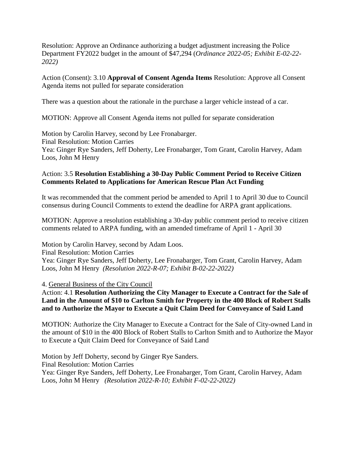Resolution: Approve an Ordinance authorizing a budget adjustment increasing the Police Department FY2022 budget in the amount of \$47,294 (*Ordinance 2022-05; Exhibit E-02-22- 2022)*

Action (Consent): 3.10 **Approval of Consent Agenda Items** Resolution: Approve all Consent Agenda items not pulled for separate consideration

There was a question about the rationale in the purchase a larger vehicle instead of a car.

MOTION: Approve all Consent Agenda items not pulled for separate consideration

Motion by Carolin Harvey, second by Lee Fronabarger. Final Resolution: Motion Carries Yea: Ginger Rye Sanders, Jeff Doherty, Lee Fronabarger, Tom Grant, Carolin Harvey, Adam Loos, John M Henry

## Action: 3.5 **Resolution Establishing a 30-Day Public Comment Period to Receive Citizen Comments Related to Applications for American Rescue Plan Act Funding**

It was recommended that the comment period be amended to April 1 to April 30 due to Council consensus during Council Comments to extend the deadline for ARPA grant applications.

MOTION: Approve a resolution establishing a 30-day public comment period to receive citizen comments related to ARPA funding, with an amended timeframe of April 1 - April 30

Motion by Carolin Harvey, second by Adam Loos. Final Resolution: Motion Carries Yea: Ginger Rye Sanders, Jeff Doherty, Lee Fronabarger, Tom Grant, Carolin Harvey, Adam Loos, John M Henry *(Resolution 2022-R-07; Exhibit B-02-22-2022)* 

4. General Business of the City Council

Action: 4.1 **Resolution Authorizing the City Manager to Execute a Contract for the Sale of Land in the Amount of \$10 to Carlton Smith for Property in the 400 Block of Robert Stalls and to Authorize the Mayor to Execute a Quit Claim Deed for Conveyance of Said Land**

MOTION: Authorize the City Manager to Execute a Contract for the Sale of City-owned Land in the amount of \$10 in the 400 Block of Robert Stalls to Carlton Smith and to Authorize the Mayor to Execute a Quit Claim Deed for Conveyance of Said Land

Motion by Jeff Doherty, second by Ginger Rye Sanders. Final Resolution: Motion Carries Yea: Ginger Rye Sanders, Jeff Doherty, Lee Fronabarger, Tom Grant, Carolin Harvey, Adam Loos, John M Henry *(Resolution 2022-R-10; Exhibit F-02-22-2022)*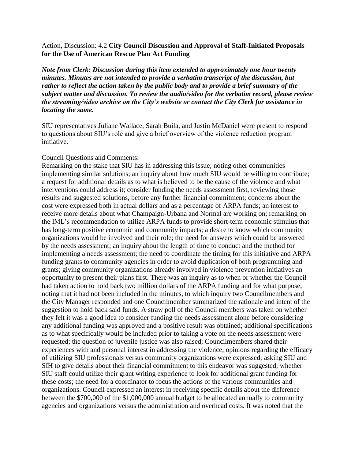### Action, Discussion: 4.2 **City Council Discussion and Approval of Staff-Initiated Proposals for the Use of American Rescue Plan Act Funding**

*Note from Clerk: Discussion during this item extended to approximately one hour twenty minutes. Minutes are not intended to provide a verbatim transcript of the discussion, but rather to reflect the action taken by the public body and to provide a brief summary of the subject matter and discussion. To review the audio/video for the verbatim record, please review the streaming/video archive on the City's website or contact the City Clerk for assistance in locating the same.* 

SIU representatives Juliane Wallace, Sarah Buila, and Justin McDaniel were present to respond to questions about SIU's role and give a brief overview of the violence reduction program initiative.

### Council Questions and Comments:

Remarking on the stake that SIU has in addressing this issue; noting other communities implementing similar solutions; an inquiry about how much SIU would be willing to contribute; a request for additional details as to what is believed to be the cause of the violence and what interventions could address it; consider funding the needs assessment first, reviewing those results and suggested solutions, before any further financial commitment; concerns about the cost were expressed both in actual dollars and as a percentage of ARPA funds; an interest to receive more details about what Champaign-Urbana and Normal are working on; remarking on the IML's recommendation to utilize ARPA funds to provide short-term economic stimulus that has long-term positive economic and community impacts; a desire to know which community organizations would be involved and their role; the need for answers which could be answered by the needs assessment; an inquiry about the length of time to conduct and the method for implementing a needs assessment; the need to coordinate the timing for this initiative and ARPA funding grants to community agencies in order to avoid duplication of both programming and grants; giving community organizations already involved in violence prevention initiatives an opportunity to present their plans first. There was an inquiry as to when or whether the Council had taken action to hold back two million dollars of the ARPA funding and for what purpose, noting that it had not been included in the minutes, to which inquiry two Councilmembers and the City Manager responded and one Councilmember summarized the rationale and intent of the suggestion to hold back said funds. A straw poll of the Council members was taken on whether they felt it was a good idea to consider funding the needs assessment alone before considering any additional funding was approved and a positive result was obtained; additional specifications as to what specifically would be included prior to taking a vote on the needs assessment were requested; the question of juvenile justice was also raised; Councilmembers shared their experiences with and personal interest in addressing the violence; opinions regarding the efficacy of utilizing SIU professionals versus community organizations were expressed; asking SIU and SIH to give details about their financial commitment to this endeavor was suggested; whether SIU staff could utilize their grant writing experience to look for additional grant funding for these costs; the need for a coordinator to focus the actions of the various communities and organizations. Council expressed an interest in receiving specific details about the difference between the \$700,000 of the \$1,000,000 annual budget to be allocated annually to community agencies and organizations versus the administration and overhead costs. It was noted that the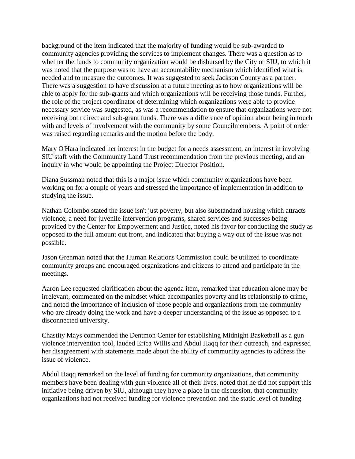background of the item indicated that the majority of funding would be sub-awarded to community agencies providing the services to implement changes. There was a question as to whether the funds to community organization would be disbursed by the City or SIU, to which it was noted that the purpose was to have an accountability mechanism which identified what is needed and to measure the outcomes. It was suggested to seek Jackson County as a partner. There was a suggestion to have discussion at a future meeting as to how organizations will be able to apply for the sub-grants and which organizations will be receiving those funds. Further, the role of the project coordinator of determining which organizations were able to provide necessary service was suggested, as was a recommendation to ensure that organizations were not receiving both direct and sub-grant funds. There was a difference of opinion about being in touch with and levels of involvement with the community by some Councilmembers. A point of order was raised regarding remarks and the motion before the body.

Mary O'Hara indicated her interest in the budget for a needs assessment, an interest in involving SIU staff with the Community Land Trust recommendation from the previous meeting, and an inquiry in who would be appointing the Project Director Position.

Diana Sussman noted that this is a major issue which community organizations have been working on for a couple of years and stressed the importance of implementation in addition to studying the issue.

Nathan Colombo stated the issue isn't just poverty, but also substandard housing which attracts violence, a need for juvenile intervention programs, shared services and successes being provided by the Center for Empowerment and Justice, noted his favor for conducting the study as opposed to the full amount out front, and indicated that buying a way out of the issue was not possible.

Jason Grenman noted that the Human Relations Commission could be utilized to coordinate community groups and encouraged organizations and citizens to attend and participate in the meetings.

Aaron Lee requested clarification about the agenda item, remarked that education alone may be irrelevant, commented on the mindset which accompanies poverty and its relationship to crime, and noted the importance of inclusion of those people and organizations from the community who are already doing the work and have a deeper understanding of the issue as opposed to a disconnected university.

Chastity Mays commended the Dentmon Center for establishing Midnight Basketball as a gun violence intervention tool, lauded Erica Willis and Abdul Haqq for their outreach, and expressed her disagreement with statements made about the ability of community agencies to address the issue of violence.

Abdul Haqq remarked on the level of funding for community organizations, that community members have been dealing with gun violence all of their lives, noted that he did not support this initiative being driven by SIU, although they have a place in the discussion, that community organizations had not received funding for violence prevention and the static level of funding